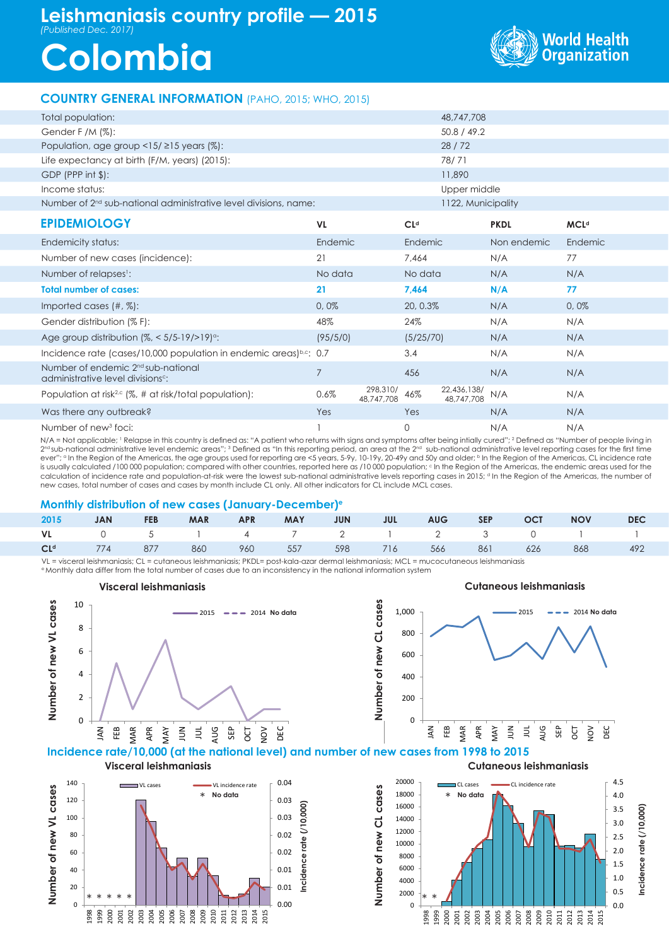# **Leishmaniasis country profile — 2015** *(Published Dec. 2017)*

# **Colombia**



## **COUNTRY GENERAL INFORMATION** (PAHO, 2015; WHO, 2015)

| Total population:                                                                               |                |                        |                 | 48,747,708                |             |             |  |  |
|-------------------------------------------------------------------------------------------------|----------------|------------------------|-----------------|---------------------------|-------------|-------------|--|--|
| Gender F /M (%):                                                                                |                |                        |                 | 50.8 / 49.2               |             |             |  |  |
| Population, age group $\langle 15/215 \rangle$ years (%):                                       |                |                        |                 | 28/72                     |             |             |  |  |
| Life expectancy at birth (F/M, years) (2015):                                                   |                |                        |                 | 78/71                     |             |             |  |  |
| $GDP$ (PPP int $$$ ):                                                                           | 11,890         |                        |                 |                           |             |             |  |  |
| Income status:                                                                                  | Upper middle   |                        |                 |                           |             |             |  |  |
| Number of 2 <sup>nd</sup> sub-national administrative level divisions, name:                    |                | 1122, Municipality     |                 |                           |             |             |  |  |
| <b>EPIDEMIOLOGY</b>                                                                             | VL             |                        | CL <sup>d</sup> |                           | <b>PKDL</b> | <b>MCLd</b> |  |  |
| Endemicity status:                                                                              | Endemic        |                        | Endemic         |                           | Non endemic | Endemic     |  |  |
| Number of new cases (incidence):                                                                | 21             |                        | 7,464           |                           | N/A         | 77          |  |  |
| Number of relapses <sup>1</sup> :                                                               | No data        |                        | No data         |                           | N/A         | N/A         |  |  |
| <b>Total number of cases:</b>                                                                   | 21             |                        | 7,464           |                           | N/A         | 77          |  |  |
| Imported cases (#, %):                                                                          | 0,0%           |                        | 20, 0.3%        |                           | N/A         | 0,0%        |  |  |
| Gender distribution (% F):                                                                      | 48%            |                        | 24%             |                           | N/A         | N/A         |  |  |
| Age group distribution $(\%,-5/5-19/>19)$ <sup>o</sup> :                                        | (95/5/0)       |                        | (5/25/70)       |                           | N/A         | N/A         |  |  |
| Incidence rate (cases/10,000 population in endemic areas)b.c: $0.7$                             |                |                        | 3.4             |                           | N/A         | N/A         |  |  |
| Number of endemic 2 <sup>nd</sup> sub-national<br>administrative level divisions <sup>c</sup> : | $\overline{7}$ |                        | 456             |                           | N/A         | N/A         |  |  |
| Population at risk <sup>2,c</sup> (%, # at risk/total population):                              | 0.6%           | 298,310/<br>48,747,708 | 46%             | 22,436,138/<br>48,747,708 | N/A         | N/A         |  |  |
| Was there any outbreak?                                                                         | Yes            |                        | Yes             |                           | N/A         | N/A         |  |  |
| Number of new <sup>3</sup> foci:                                                                |                |                        | 0               |                           | N/A         | N/A         |  |  |

N/A = Not applicable; ' Relapse in this country is defined as: "A patient who returns with signs and symptoms after being intially cured"; <sup>2</sup> Defined as "Number of people living in  $2^{\rm nd}$ sub-national administrative level endemic areas"; 3 Defined as "In this reporting period, an area at the  $2^{\rm nd}$  sub-national administrative level reporting cases for the first time ever"; a In the Region of the Americas, the age groups used for reporting are <5 years, 5-9y, 10-19y, 20-49y and 50y and older; b In the Region of the Americas, CL incidence rate is usually calculated /100 000 population; compared with other countries, reported here as /10 000 population; c in the Region of the Americas, the endemic areas used for the calculation of incidence rate and population-at-risk were the lowest sub-national administrative levels reporting cases in 2015; <sup>a</sup> In the Region of the Americas, the number of new cases, total number of cases and cases by month include CL only. All other indicators for CL include MCL cases.

#### **Monthly distribution of new cases (January-December)e**

|  |  |  |  |  | 2015 JAN FEB MAR APR MAY JUN JUL AUG SEP OCT NOV DEC            |  |
|--|--|--|--|--|-----------------------------------------------------------------|--|
|  |  |  |  |  | VL 0 5 1 4 7 2 1 2 3 0 1 1                                      |  |
|  |  |  |  |  | CL <sup>d</sup> 774 877 860 960 557 598 716 566 861 626 868 492 |  |

VL = visceral leishmaniasis; CL = cutaneous leishmaniasis; PKDL= post-kala-azar dermal leishmaniasis; MCL = mucocutaneous leishmaniasis e Monthly data differ from the total number of cases due to an inconsistency in the national information system







**Visceral leishmaniasis Cutaneous leishmaniasis**